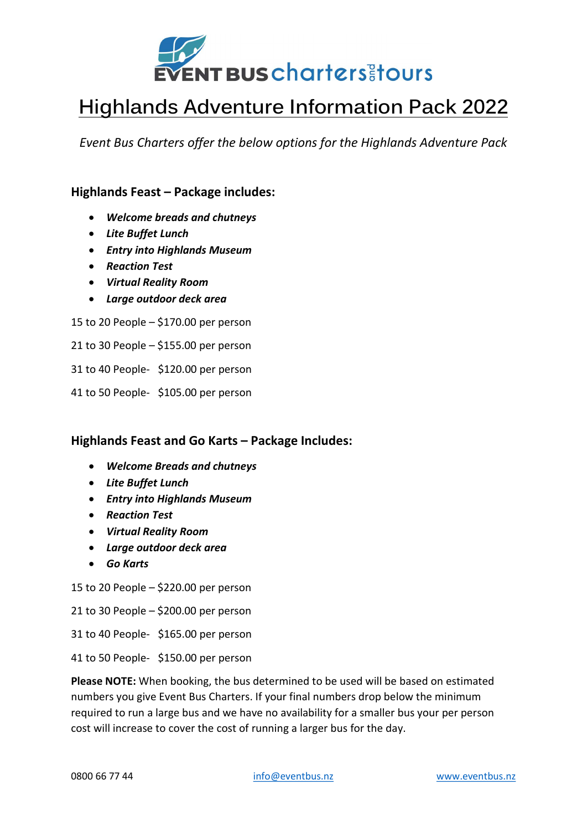

# Highlands Adventure Information Pack 2022

Event Bus Charters offer the below options for the Highlands Adventure Pack

### Highlands Feast – Package includes:

- Welcome breads and chutneys
- Lite Buffet Lunch
- Entry into Highlands Museum
- Reaction Test
- Virtual Reality Room
- Large outdoor deck area

15 to 20 People – \$170.00 per person

21 to 30 People – \$155.00 per person

31 to 40 People- \$120.00 per person

41 to 50 People- \$105.00 per person

#### Highlands Feast and Go Karts – Package Includes:

- Welcome Breads and chutneys
- Lite Buffet Lunch
- Entry into Highlands Museum
- Reaction Test
- Virtual Reality Room
- Large outdoor deck area
- Go Karts

15 to 20 People – \$220.00 per person

21 to 30 People – \$200.00 per person

31 to 40 People- \$165.00 per person

41 to 50 People- \$150.00 per person

Please NOTE: When booking, the bus determined to be used will be based on estimated numbers you give Event Bus Charters. If your final numbers drop below the minimum required to run a large bus and we have no availability for a smaller bus your per person cost will increase to cover the cost of running a larger bus for the day.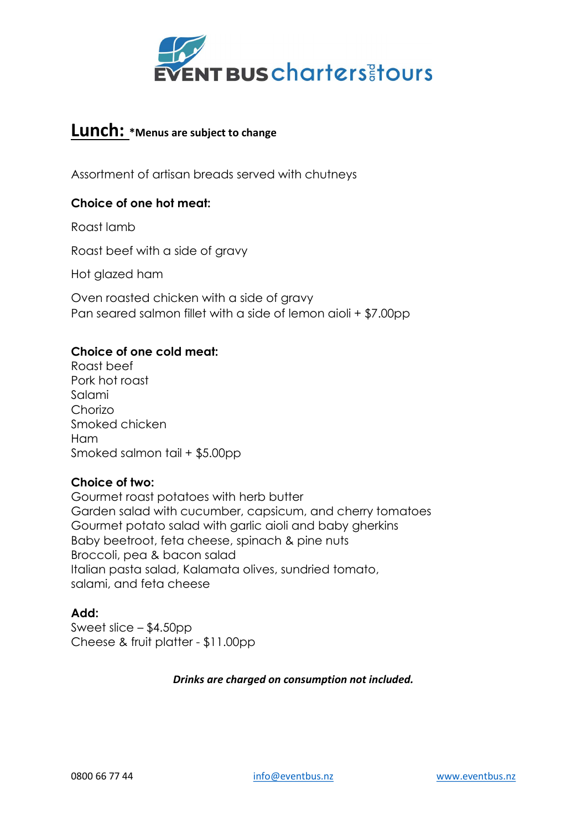

## Lunch: \*Menus are subject to change

Assortment of artisan breads served with chutneys

#### Choice of one hot meat:

Roast lamb

Roast beef with a side of gravy

Hot glazed ham

Oven roasted chicken with a side of gravy Pan seared salmon fillet with a side of lemon aioli + \$7.00pp

#### Choice of one cold meat:

Roast beef Pork hot roast Salami Chorizo Smoked chicken Ham Smoked salmon tail + \$5.00pp

#### Choice of two:

Gourmet roast potatoes with herb butter Garden salad with cucumber, capsicum, and cherry tomatoes Gourmet potato salad with garlic aioli and baby gherkins Baby beetroot, feta cheese, spinach & pine nuts Broccoli, pea & bacon salad Italian pasta salad, Kalamata olives, sundried tomato, salami, and feta cheese

#### Add:

Sweet slice – \$4.50pp Cheese & fruit platter - \$11.00pp

#### Drinks are charged on consumption not included.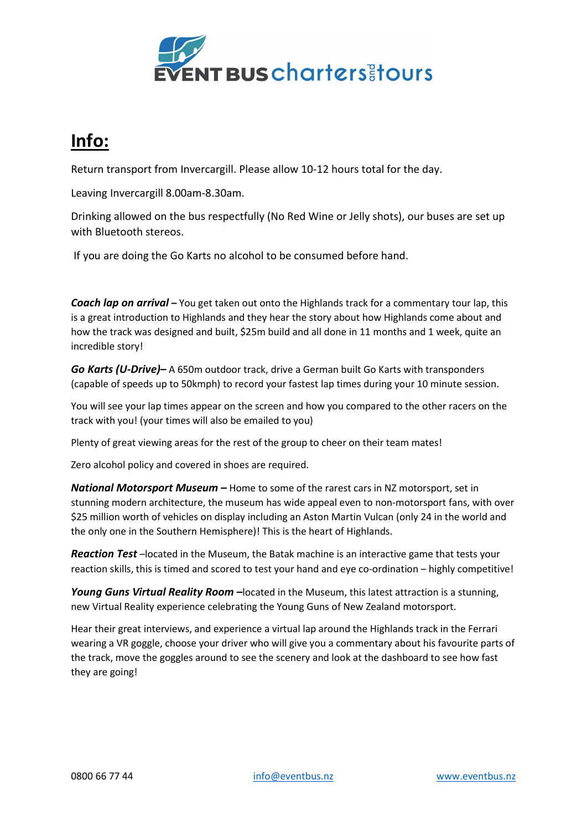

# Info:

Return transport from Invercargill. Please allow 10-12 hours total for the day.

Leaving Invercargill 8.00am-8.30am.

Drinking allowed on the bus respectfully (No Red Wine or Jelly shots), our buses are set up with Bluetooth stereos.

If you are doing the Go Karts no alcohol to be consumed before hand.

**Coach lap on arrival** – You get taken out onto the Highlands track for a commentary tour lap, this is a great introduction to Highlands and they hear the story about how Highlands come about and how the track was designed and built, \$25m build and all done in 11 months and 1 week, quite an incredible story!

Go Karts (U-Drive) – A 650m outdoor track, drive a German built Go Karts with transponders (capable of speeds up to 50kmph) to record your fastest lap times during your 10 minute session.

You will see your lap times appear on the screen and how you compared to the other racers on the track with you! (your times will also be emailed to you)

Plenty of great viewing areas for the rest of the group to cheer on their team mates!

Zero alcohol policy and covered in shoes are required.

National Motorsport Museum - Home to some of the rarest cars in NZ motorsport, set in stunning modern architecture, the museum has wide appeal even to non-motorsport fans, with over \$25 million worth of vehicles on display including an Aston Martin Vulcan (only 24 in the world and the only one in the Southern Hemisphere)! This is the heart of Highlands.

**Reaction Test** –located in the Museum, the Batak machine is an interactive game that tests your reaction skills, this is timed and scored to test your hand and eye co-ordination – highly competitive!

Young Guns Virtual Reality Room –located in the Museum, this latest attraction is a stunning, new Virtual Reality experience celebrating the Young Guns of New Zealand motorsport.

Hear their great interviews, and experience a virtual lap around the Highlands track in the Ferrari wearing a VR goggle, choose your driver who will give you a commentary about his favourite parts of the track, move the goggles around to see the scenery and look at the dashboard to see how fast they are going!